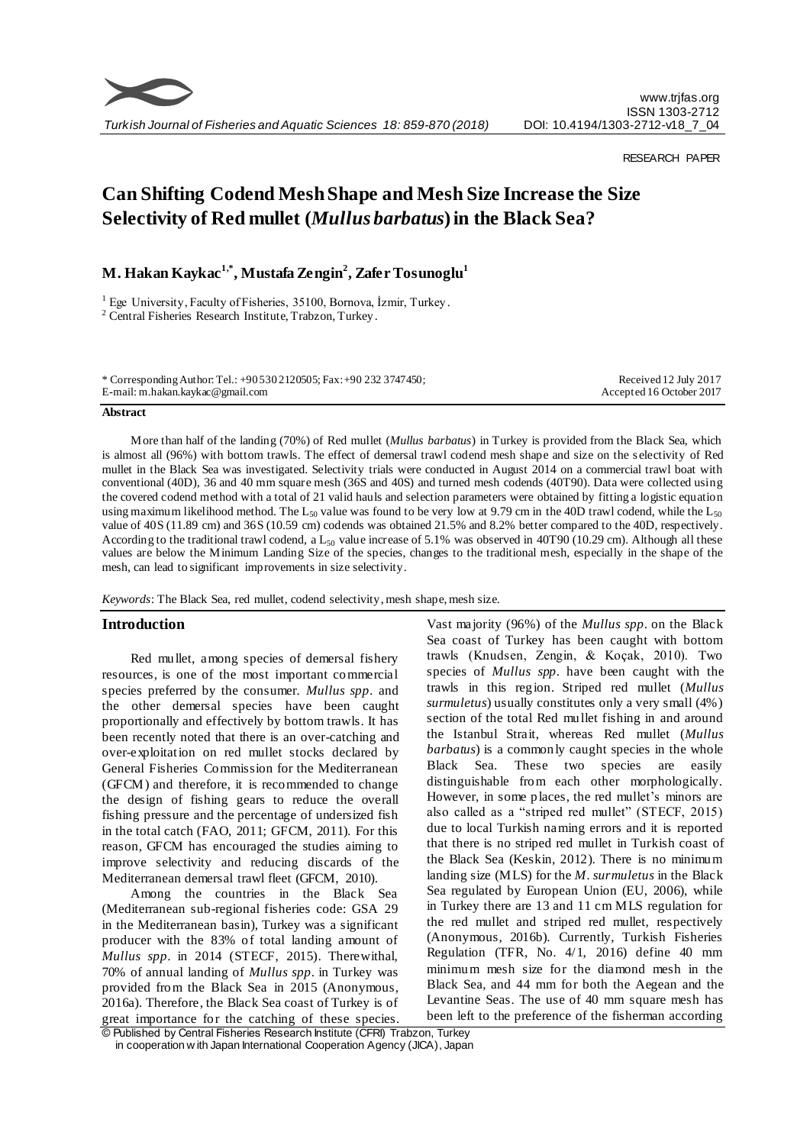

## RESEARCH PAPER

# **Can Shifting Codend Mesh Shape and Mesh Size Increase the Size Selectivity of Red mullet (***Mullus barbatus***) in the Black Sea?**

**M. Hakan Kaykac1,\*, Mustafa Zengin<sup>2</sup> , Zafer Tosunoglu<sup>1</sup>**

<sup>1</sup> Ege University, Faculty of Fisheries, 35100, Bornova, İzmir, Turkey.

<sup>2</sup> Central Fisheries Research Institute, Trabzon, Turkey.

\* Corresponding Author: Tel.: +90 530 2120505; Fax: +90 232 3747450; E-mail: m.hakan.kaykac@gmail.com

Received 12 July 2017 Accepted 16 October 2017

#### **Abstract**

More than half of the landing (70%) of Red mullet (*Mullus barbatus*) in Turkey is provided from the Black Sea, which is almost all (96%) with bottom trawls. The effect of demersal trawl codend mesh shape and size on the s electivity of Red mullet in the Black Sea was investigated. Selectivity trials were conducted in August 2014 on a commercial trawl boat with conventional (40D), 36 and 40 mm square mesh (36S and 40S) and turned mesh codends (40T90). Data were collected using the covered codend method with a total of 21 valid hauls and selection parameters were obtained by fitting a logistic equation using maximum likelihood method. The L<sub>50</sub> value was found to be very low at 9.79 cm in the 40D trawl codend, while the L<sub>50</sub> value of 40S (11.89 cm) and 36S (10.59 cm) codends was obtained 21.5% and 8.2% better compared to the 40D, respectively. According to the traditional trawl codend, a  $L_{50}$  value increase of 5.1% was observed in 40T90 (10.29 cm). Although all these values are below the Minimum Landing Size of the species, changes to the traditional mesh, especially in the shape of the mesh, can lead to significant improvements in size selectivity.

*Keywords*: The Black Sea, red mullet, codend selectivity, mesh shape, mesh size.

# **Introduction**

Red mullet, among species of demersal fishery resources, is one of the most important commercial species preferred by the consumer. *Mullus spp*. and the other demersal species have been caught proportionally and effectively by bottom trawls. It has been recently noted that there is an over-catching and over-exploitation on red mullet stocks declared by General Fisheries Commission for the Mediterranean (GFCM) and therefore, it is recommended to change the design of fishing gears to reduce the overall fishing pressure and the percentage of undersized fish in the total catch (FAO, 2011; GFCM, 2011). For this reason, GFCM has encouraged the studies aiming to improve selectivity and reducing discards of the Mediterranean demersal trawl fleet (GFCM, 2010).

Among the countries in the Black Sea (Mediterranean sub-regional fisheries code: GSA 29 in the Mediterranean basin), Turkey was a significant producer with the 83% of total landing amount of *Mullus spp*. in 2014 (STECF, 2015). Therewithal, 70% of annual landing of *Mullus spp*. in Turkey was provided from the Black Sea in 2015 (Anonymous, 2016a). Therefore, the Black Sea coast of Turkey is of great importance for the catching of these species. Vast majority (96%) of the *Mullus spp*. on the Black Sea coast of Turkey has been caught with bottom trawls (Knudsen, Zengin, & Koçak, 2010). Two species of *Mullus spp*. have been caught with the trawls in this region. Striped red mullet (*Mullus surmuletus*) usually constitutes only a very small (4%) section of the total Red mullet fishing in and around the Istanbul Strait, whereas Red mullet (*Mullus barbatus*) is a commonly caught species in the whole Black Sea. These two species are easily distinguishable from each other morphologically. However, in some places, the red mullet's minors are also called as a "striped red mullet" (STECF, 2015) due to local Turkish naming errors and it is reported that there is no striped red mullet in Turkish coast of the Black Sea (Keskin, 2012). There is no minimum landing size (MLS) for the *M. surmuletus* in the Black Sea regulated by European Union (EU, 2006), while in Turkey there are 13 and 11 cm MLS regulation for the red mullet and striped red mullet, respectively (Anonymous, 2016b). Currently, Turkish Fisheries Regulation (TFR, No. 4/1, 2016) define 40 mm minimum mesh size for the diamond mesh in the Black Sea, and 44 mm for both the Aegean and the Levantine Seas. The use of 40 mm square mesh has been left to the preference of the fisherman according

<sup>©</sup> Published by Central Fisheries Research Institute (CFRI) Trabzon, Turkey in cooperation w ith Japan International Cooperation Agency (JICA), Japan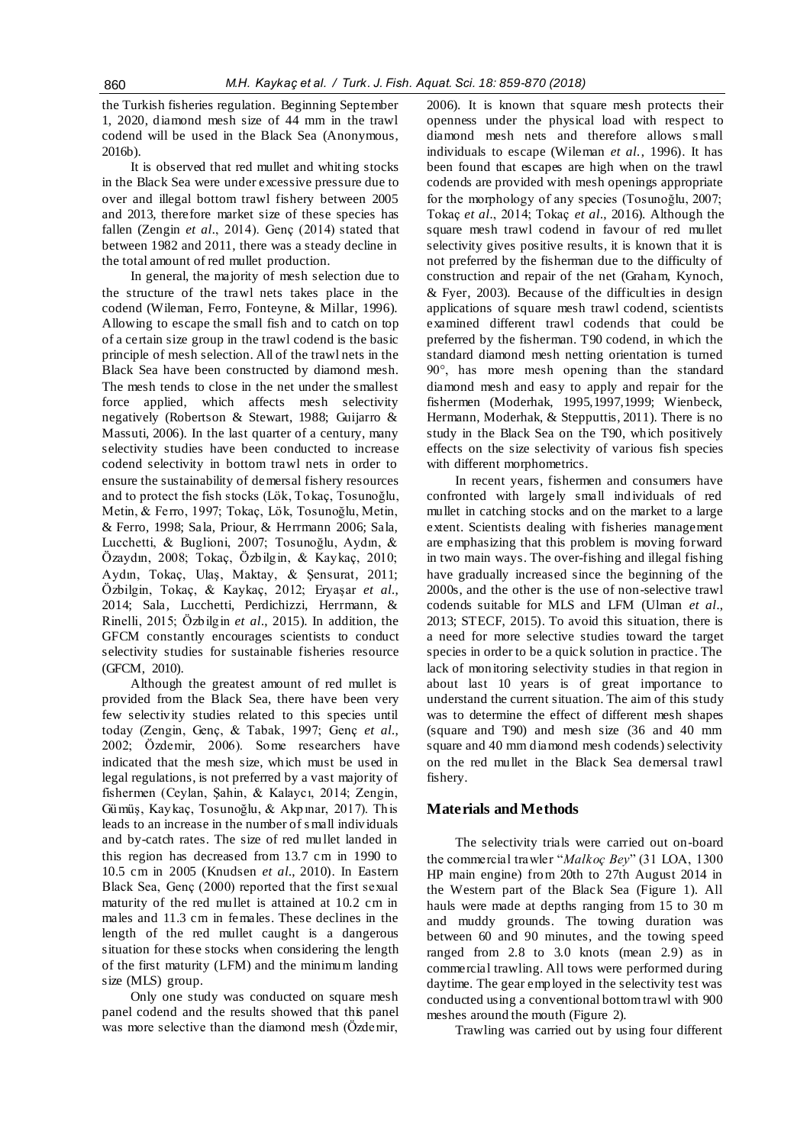the Turkish fisheries regulation. Beginning September 1, 2020, diamond mesh size of 44 mm in the trawl codend will be used in the Black Sea (Anonymous, 2016b).

It is observed that red mullet and whiting stocks in the Black Sea were under excessive pressure due to over and illegal bottom trawl fishery between 2005 and 2013, therefore market size of these species has fallen (Zengin *et al.*, 2014). Genç (2014) stated that between 1982 and 2011, there was a steady decline in the total amount of red mullet production.

In general, the majority of mesh selection due to the structure of the trawl nets takes place in the codend (Wileman, Ferro, Fonteyne, & Millar, 1996). Allowing to escape the small fish and to catch on top of a certain size group in the trawl codend is the basic principle of mesh selection. All of the trawl nets in the Black Sea have been constructed by diamond mesh. The mesh tends to close in the net under the smallest force applied, which affects mesh selectivity negatively (Robertson & Stewart, 1988; Guijarro & Massuti, 2006). In the last quarter of a century, many selectivity studies have been conducted to increase codend selectivity in bottom trawl nets in order to ensure the sustainability of demersal fishery resources and to protect the fish stocks (Lök, Tokaç, Tosunoğlu, Metin, & Ferro, 1997; Tokaç, Lök, Tosunoğlu, Metin, & Ferro, 1998; Sala, Priour, & Herrmann 2006; Sala, Lucchetti, & Buglioni, 2007; Tosunoğlu, Aydın, & Özaydın, 2008; Tokaç, Özbilgin, & Kaykaç, 2010; Aydın, Tokaç, Ulaş, Maktay, & Şensurat, 2011; Özbilgin, Tokaç, & Kaykaç, 2012; Eryaşar *et al.*, 2014; Sala, Lucchetti, Perdichizzi, Herrmann, & Rinelli, 2015; Özbilgin *et al.*, 2015). In addition, the GFCM constantly encourages scientists to conduct selectivity studies for sustainable fisheries resource (GFCM, 2010).

Although the greatest amount of red mullet is provided from the Black Sea, there have been very few selectivity studies related to this species until today (Zengin, Genç, & Tabak, 1997; Genç *et al.*, 2002; Özdemir, 2006). Some researchers have indicated that the mesh size, which must be used in legal regulations, is not preferred by a vast majority of fishermen (Ceylan, Şahin, & Kalaycı, 2014; Zengin, Gümüş, Kaykaç, Tosunoğlu, & Akpınar, 2017). This leads to an increase in the number of s mall individuals and by-catch rates. The size of red mullet landed in this region has decreased from 13.7 cm in 1990 to 10.5 cm in 2005 (Knudsen *et al.*, 2010). In Eastern Black Sea, Genç (2000) reported that the first sexual maturity of the red mullet is attained at 10.2 cm in males and 11.3 cm in females. These declines in the length of the red mullet caught is a dangerous situation for these stocks when considering the length of the first maturity (LFM) and the minimum landing size (MLS) group.

Only one study was conducted on square mesh panel codend and the results showed that this panel was more selective than the diamond mesh (Özdemir, 2006). It is known that square mesh protects their openness under the physical load with respect to diamond mesh nets and therefore allows s mall individuals to escape (Wileman *et al.*, 1996). It has been found that escapes are high when on the trawl codends are provided with mesh openings appropriate for the morphology of any species (Tosunoğlu, 2007; Tokaç *et al.*, 2014; Tokaç *et al.*, 2016). Although the square mesh trawl codend in favour of red mullet selectivity gives positive results, it is known that it is not preferred by the fisherman due to the difficulty of construction and repair of the net (Graham, Kynoch, & Fyer, 2003). Because of the difficulties in design applications of square mesh trawl codend, scientists examined different trawl codends that could be preferred by the fisherman. T90 codend, in which the standard diamond mesh netting orientation is turned 90°, has more mesh opening than the standard diamond mesh and easy to apply and repair for the fishermen (Moderhak, 1995,1997,1999; Wienbeck, Hermann, Moderhak, & Stepputtis, 2011). There is no study in the Black Sea on the T90, which positively effects on the size selectivity of various fish species with different morphometrics.

In recent years, fishermen and consumers have confronted with largely small individuals of red mullet in catching stocks and on the market to a large extent. Scientists dealing with fisheries management are emphasizing that this problem is moving forward in two main ways. The over-fishing and illegal fishing have gradually increased since the beginning of the 2000s, and the other is the use of non-selective trawl codends suitable for MLS and LFM (Ulman *et al.*, 2013; STECF, 2015). To avoid this situation, there is a need for more selective studies toward the target species in order to be a quick solution in practice. The lack of monitoring selectivity studies in that region in about last 10 years is of great importance to understand the current situation. The aim of this study was to determine the effect of different mesh shapes (square and T90) and mesh size (36 and 40 mm square and 40 mm diamond mesh codends) selectivity on the red mullet in the Black Sea demersal trawl fishery.

# **Materials and Methods**

The selectivity trials were carried out on-board the commercial trawler "*Malkoç Bey*" (31 LOA, 1300 HP main engine) from 20th to 27th August 2014 in the Western part of the Black Sea (Figure 1). All hauls were made at depths ranging from 15 to 30 m and muddy grounds. The towing duration was between 60 and 90 minutes, and the towing speed ranged from 2.8 to 3.0 knots (mean 2.9) as in commercial trawling. All tows were performed during daytime. The gear employed in the selectivity test was conducted using a conventional bottom trawl with 900 meshes around the mouth (Figure 2).

Trawling was carried out by using four different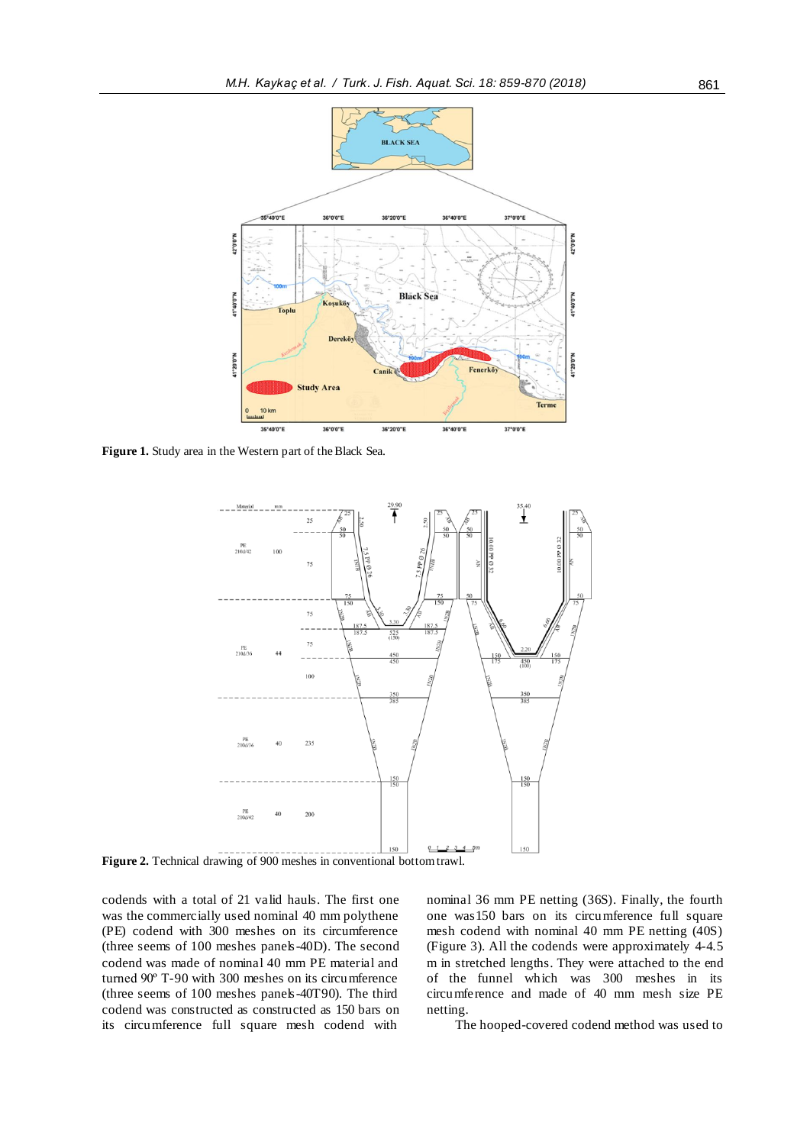

**Figure 1.** Study area in the Western part of the Black Sea.



**Figure 2.** Technical drawing of 900 meshes in conventional bottom trawl.

codends with a total of 21 valid hauls. The first one was the commercially used nominal 40 mm polythene (PE) codend with 300 meshes on its circumference (three seems of 100 meshes panels-40D). The second codend was made of nominal 40 mm PE material and turned 90º T-90 with 300 meshes on its circumference (three seems of 100 meshes panels-40T90). The third codend was constructed as constructed as 150 bars on its circumference full square mesh codend with

nominal 36 mm PE netting (36S). Finally, the fourth one was150 bars on its circumference full square mesh codend with nominal 40 mm PE netting (40S) (Figure 3). All the codends were approximately 4-4.5 m in stretched lengths. They were attached to the end of the funnel which was 300 meshes in its circumference and made of 40 mm mesh size PE netting.

The hooped-covered codend method was used to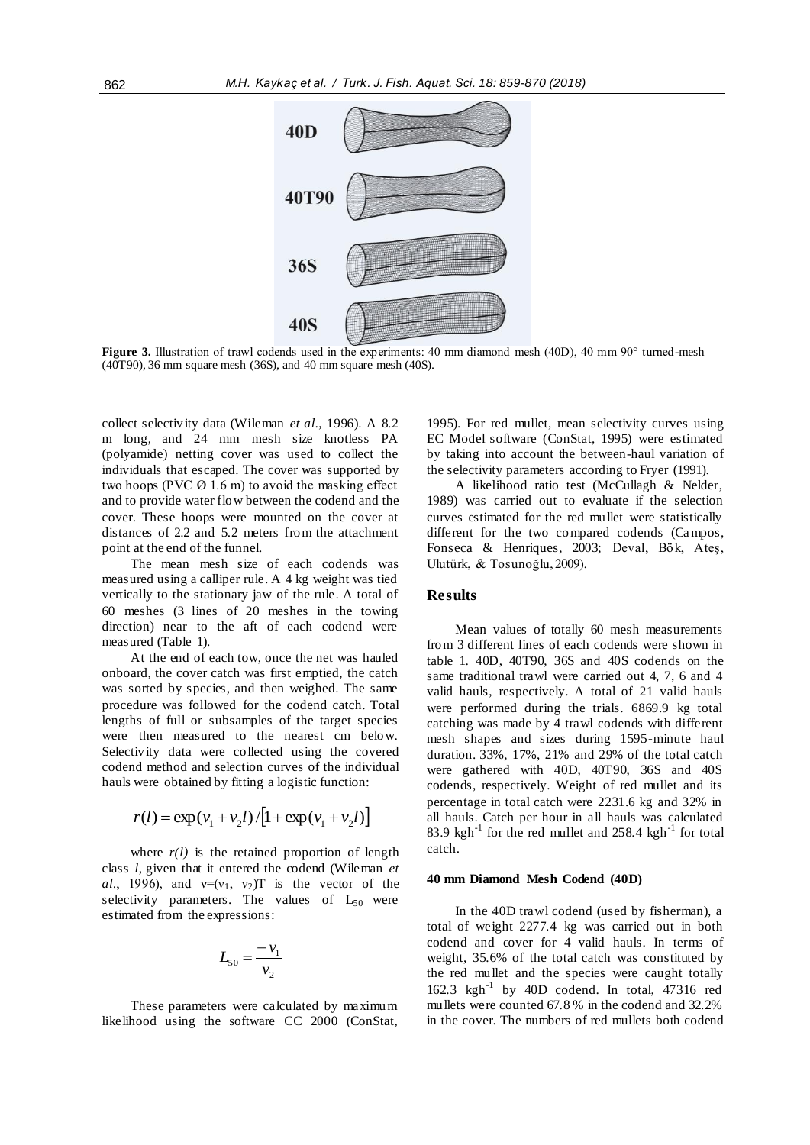

**Figure 3.** Illustration of trawl codends used in the experiments: 40 mm diamond mesh (40D), 40 mm 90° turned-mesh (40T90), 36 mm square mesh (36S), and 40 mm square mesh (40S).

collect selectivity data (Wileman *et al.*, 1996). A 8.2 m long, and 24 mm mesh size knotless PA (polyamide) netting cover was used to collect the individuals that escaped. The cover was supported by two hoops (PVC  $\varnothing$  1.6 m) to avoid the masking effect and to provide water flow between the codend and the cover. These hoops were mounted on the cover at distances of 2.2 and 5.2 meters from the attachment point at the end of the funnel.

The mean mesh size of each codends was measured using a calliper rule. A 4 kg weight was tied vertically to the stationary jaw of the rule. A total of 60 meshes (3 lines of 20 meshes in the towing direction) near to the aft of each codend were measured (Table 1).

At the end of each tow, once the net was hauled onboard, the cover catch was first emptied, the catch was sorted by species, and then weighed. The same procedure was followed for the codend catch. Total lengths of full or subsamples of the target species were then measured to the nearest cm below. Selectivity data were collected using the covered codend method and selection curves of the individual hauls were obtained by fitting a logistic function:

$$
r(l) = \exp(v_1 + v_2 l) / [1 + \exp(v_1 + v_2 l)]
$$

where  $r(l)$  is the retained proportion of length class *l*, given that it entered the codend (Wileman *et al.*, 1996), and  $v=(v_1, v_2)$  is the vector of the selectivity parameters. The values of  $L_{50}$  were estimated from the expressions:

$$
L_{50} = \frac{-v_1}{v_2}
$$

These parameters were calculated by maximum likelihood using the software CC 2000 (ConStat, 1995). For red mullet, mean selectivity curves using EC Model software (ConStat, 1995) were estimated by taking into account the between-haul variation of the selectivity parameters according to Fryer (1991).

A likelihood ratio test (McCullagh & Nelder, 1989) was carried out to evaluate if the selection curves estimated for the red mullet were statistically different for the two compared codends (Campos, Fonseca & Henriques, 2003; Deval, Bök, Ateş, Ulutürk, & Tosunoğlu, 2009).

## **Results**

Mean values of totally 60 mesh measurements from 3 different lines of each codends were shown in table 1. 40D, 40T90, 36S and 40S codends on the same traditional trawl were carried out 4, 7, 6 and 4 valid hauls, respectively. A total of 21 valid hauls were performed during the trials. 6869.9 kg total catching was made by 4 trawl codends with different mesh shapes and sizes during 1595-minute haul duration. 33%, 17%, 21% and 29% of the total catch were gathered with 40D, 40T90, 36S and 40S codends, respectively. Weight of red mullet and its percentage in total catch were 2231.6 kg and 32% in all hauls. Catch per hour in all hauls was calculated 83.9  $\text{kgh}^{-1}$  for the red mullet and 258.4  $\text{kgh}^{-1}$  for total catch.

#### **40 mm Diamond Mesh Codend (40D)**

In the 40D trawl codend (used by fisherman), a total of weight 2277.4 kg was carried out in both codend and cover for 4 valid hauls. In terms of weight, 35.6% of the total catch was constituted by the red mullet and the species were caught totally 162.3 kgh-1 by 40D codend. In total, 47316 red mullets were counted 67.8 % in the codend and 32.2% in the cover. The numbers of red mullets both codend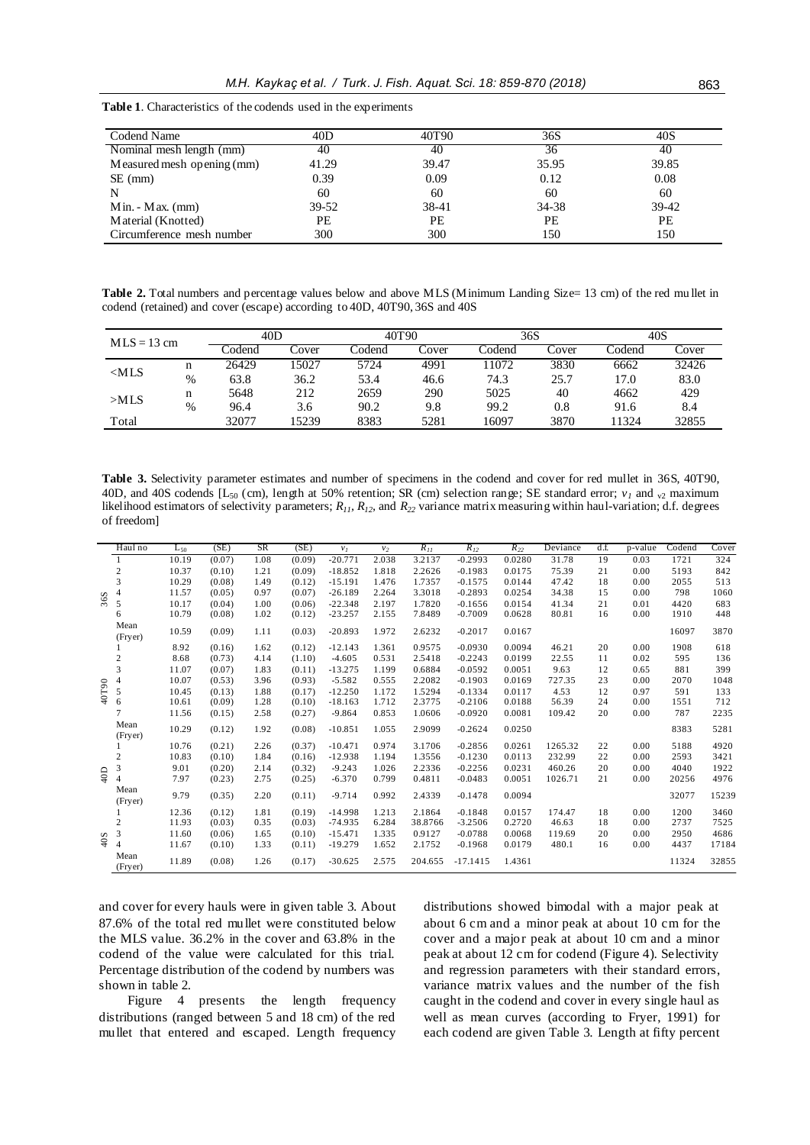| Codend Name                | 40D       | 40T90 | 36S   | 40S   |
|----------------------------|-----------|-------|-------|-------|
| Nominal mesh length (mm)   | 40        | 40    | 36    | 40    |
| Measured mesh opening (mm) | 41.29     | 39.47 | 35.95 | 39.85 |
| $SE$ (mm)                  | 0.39      | 0.09  | 0.12  | 0.08  |
| N                          | 60        | 60    | 60    | 60    |
| $Min. - Max.$ (mm)         | $39 - 52$ | 38-41 | 34-38 | 39-42 |
| Material (Knotted)         | PЕ        | РE    | PE    | PE    |
| Circumference mesh number  | 300       | 300   | 150   | 150   |

**Table 1**. Characteristics of the codends used in the experiments

**Table 2.** Total numbers and percentage values below and above MLS (Minimum Landing Size= 13 cm) of the red mu llet in codend (retained) and cover (escape) according to 40D, 40T90, 36S and 40S

| $MLS = 13$ cm |               | 40D     |        | 40T90  |       | 36S    |         | 40S    |       |
|---------------|---------------|---------|--------|--------|-------|--------|---------|--------|-------|
|               |               | codend_ | .`over | Codend | Cover | Codend | Cover   | Codend | Cover |
| MLS           | n             | 26429   | 15027  | 5724   | 4991  | 11072  | 3830    | 6662   | 32426 |
|               | $\frac{0}{0}$ | 63.8    | 36.2   | 53.4   | 46.6  | 74.3   | 25.7    | 17.0   | 83.0  |
| >MLS          | n             | 5648    | 212    | 2659   | 290   | 5025   | 40      | 4662   | 429   |
|               | %             | 96.4    | 3.6    | 90.2   | 9.8   | 99.2   | $0.8\,$ | 91.6   | 8.4   |
| Total         |               | 32077   | 15239  | 8383   | 5281  | 16097  | 3870    | 1324   | 32855 |

**Table 3.** Selectivity parameter estimates and number of specimens in the codend and cover for red mullet in 36S, 40T90, 40D, and 40S codends [L<sub>50</sub> (cm), length at 50% retention; SR (cm) selection range; SE standard error;  $v_i$  and  $\sigma$  maximum likelihood estimators of selectivity parameters; *R11, R12,* and *R<sup>22</sup>* variance matrix measuring within haul-variation; d.f. degrees of freedom]

|       | Haul no          | $L_{50}$ | (SE)   | <b>SR</b> | (SE)   | $v_I$     | $v_2$ | $R_{II}$ | $R_{I2}$   | $R_{22}$ | Deviance | $df$ . | p-value | Codend | Cover |
|-------|------------------|----------|--------|-----------|--------|-----------|-------|----------|------------|----------|----------|--------|---------|--------|-------|
| 36S   |                  | 10.19    | (0.07) | 1.08      | (0.09) | $-20.771$ | 2.038 | 3.2137   | $-0.2993$  | 0.0280   | 31.78    | 19     | 0.03    | 1721   | 324   |
|       | $\mathbf{2}$     | 10.37    | (0.10) | 1.21      | (0.09) | $-18.852$ | 1.818 | 2.2626   | $-0.1983$  | 0.0175   | 75.39    | 21     | 0.00    | 5193   | 842   |
|       | 3                | 10.29    | (0.08) | 1.49      | (0.12) | $-15.191$ | 1.476 | 1.7357   | $-0.1575$  | 0.0144   | 47.42    | 18     | 0.00    | 2055   | 513   |
|       | $\overline{4}$   | 11.57    | (0.05) | 0.97      | (0.07) | $-26.189$ | 2.264 | 3.3018   | $-0.2893$  | 0.0254   | 34.38    | 15     | 0.00    | 798    | 1060  |
|       | 5                | 10.17    | (0.04) | 1.00      | (0.06) | $-22.348$ | 2.197 | 1.7820   | $-0.1656$  | 0.0154   | 41.34    | 21     | 0.01    | 4420   | 683   |
|       | 6                | 10.79    | (0.08) | 1.02      | (0.12) | $-23.257$ | 2.155 | 7.8489   | $-0.7009$  | 0.0628   | 80.81    | 16     | 0.00    | 1910   | 448   |
|       | Mean<br>(Fryer)  | 10.59    | (0.09) | 1.11      | (0.03) | $-20.893$ | 1.972 | 2.6232   | $-0.2017$  | 0.0167   |          |        |         | 16097  | 3870  |
|       |                  | 8.92     | (0.16) | 1.62      | (0.12) | $-12.143$ | 1.361 | 0.9575   | $-0.0930$  | 0.0094   | 46.21    | 20     | 0.00    | 1908   | 618   |
|       | $\boldsymbol{2}$ | 8.68     | (0.73) | 4.14      | (1.10) | $-4.605$  | 0.531 | 2.5418   | $-0.2243$  | 0.0199   | 22.55    | 11     | 0.02    | 595    | 136   |
|       | 3                | 11.07    | (0.07) | 1.83      | (0.11) | $-13.275$ | 1.199 | 0.6884   | $-0.0592$  | 0.0051   | 9.63     | 12     | 0.65    | 881    | 399   |
|       | $\overline{4}$   | 10.07    | (0.53) | 3.96      | (0.93) | $-5.582$  | 0.555 | 2.2082   | $-0.1903$  | 0.0169   | 727.35   | 23     | 0.00    | 2070   | 1048  |
| 40T90 | 5                | 10.45    | (0.13) | 1.88      | (0.17) | $-12.250$ | 1.172 | 1.5294   | $-0.1334$  | 0.0117   | 4.53     | 12     | 0.97    | 591    | 133   |
|       | 6                | 10.61    | (0.09) | 1.28      | (0.10) | $-18.163$ | 1.712 | 2.3775   | $-0.2106$  | 0.0188   | 56.39    | 24     | 0.00    | 1551   | 712   |
|       |                  | 11.56    | (0.15) | 2.58      | (0.27) | $-9.864$  | 0.853 | 1.0606   | $-0.0920$  | 0.0081   | 109.42   | 20     | 0.00    | 787    | 2235  |
|       | Mean<br>(Fryer)  | 10.29    | (0.12) | 1.92      | (0.08) | $-10.851$ | 1.055 | 2.9099   | $-0.2624$  | 0.0250   |          |        |         | 8383   | 5281  |
|       |                  | 10.76    | (0.21) | 2.26      | (0.37) | $-10.471$ | 0.974 | 3.1706   | $-0.2856$  | 0.0261   | 1265.32  | 22     | 0.00    | 5188   | 4920  |
|       | $\mathbf{2}$     | 10.83    | (0.10) | 1.84      | (0.16) | $-12.938$ | 1.194 | 1.3556   | $-0.1230$  | 0.0113   | 232.99   | 22     | 0.00    | 2593   | 3421  |
|       | 3                | 9.01     | (0.20) | 2.14      | (0.32) | $-9.243$  | 1.026 | 2.2336   | $-0.2256$  | 0.0231   | 460.26   | 20     | 0.00    | 4040   | 1922  |
| 40D   | $\overline{4}$   | 7.97     | (0.23) | 2.75      | (0.25) | $-6.370$  | 0.799 | 0.4811   | $-0.0483$  | 0.0051   | 1026.71  | 21     | 0.00    | 20256  | 4976  |
|       | Mean<br>(Fryer)  | 9.79     | (0.35) | 2.20      | (0.11) | $-9.714$  | 0.992 | 2.4339   | $-0.1478$  | 0.0094   |          |        |         | 32077  | 15239 |
|       |                  | 12.36    | (0.12) | 1.81      | (0.19) | $-14.998$ | 1.213 | 2.1864   | $-0.1848$  | 0.0157   | 174.47   | 18     | 0.00    | 1200   | 3460  |
|       | $\overline{c}$   | 11.93    | (0.03) | 0.35      | (0.03) | $-74.935$ | 6.284 | 38.8766  | $-3.2506$  | 0.2720   | 46.63    | 18     | 0.00    | 2737   | 7525  |
|       | 3                | 11.60    | (0.06) | 1.65      | (0.10) | $-15.471$ | 1.335 | 0.9127   | $-0.0788$  | 0.0068   | 119.69   | 20     | 0.00    | 2950   | 4686  |
| 40S   | $\overline{4}$   | 11.67    | (0.10) | 1.33      | (0.11) | $-19.279$ | 1.652 | 2.1752   | $-0.1968$  | 0.0179   | 480.1    | 16     | 0.00    | 4437   | 17184 |
|       | Mean<br>(Fryer)  | 11.89    | (0.08) | 1.26      | (0.17) | $-30.625$ | 2.575 | 204.655  | $-17.1415$ | 1.4361   |          |        |         | 11324  | 32855 |

and cover for every hauls were in given table 3. About 87.6% of the total red mullet were constituted below the MLS value. 36.2% in the cover and 63.8% in the codend of the value were calculated for this trial. Percentage distribution of the codend by numbers was shown in table 2.

Figure 4 presents the length frequency distributions (ranged between 5 and 18 cm) of the red mullet that entered and escaped. Length frequency

distributions showed bimodal with a major peak at about 6 cm and a minor peak at about 10 cm for the cover and a major peak at about 10 cm and a minor peak at about 12 cm for codend (Figure 4). Selectivity and regression parameters with their standard errors, variance matrix values and the number of the fish caught in the codend and cover in every single haul as well as mean curves (according to Fryer, 1991) for each codend are given Table 3. Length at fifty percent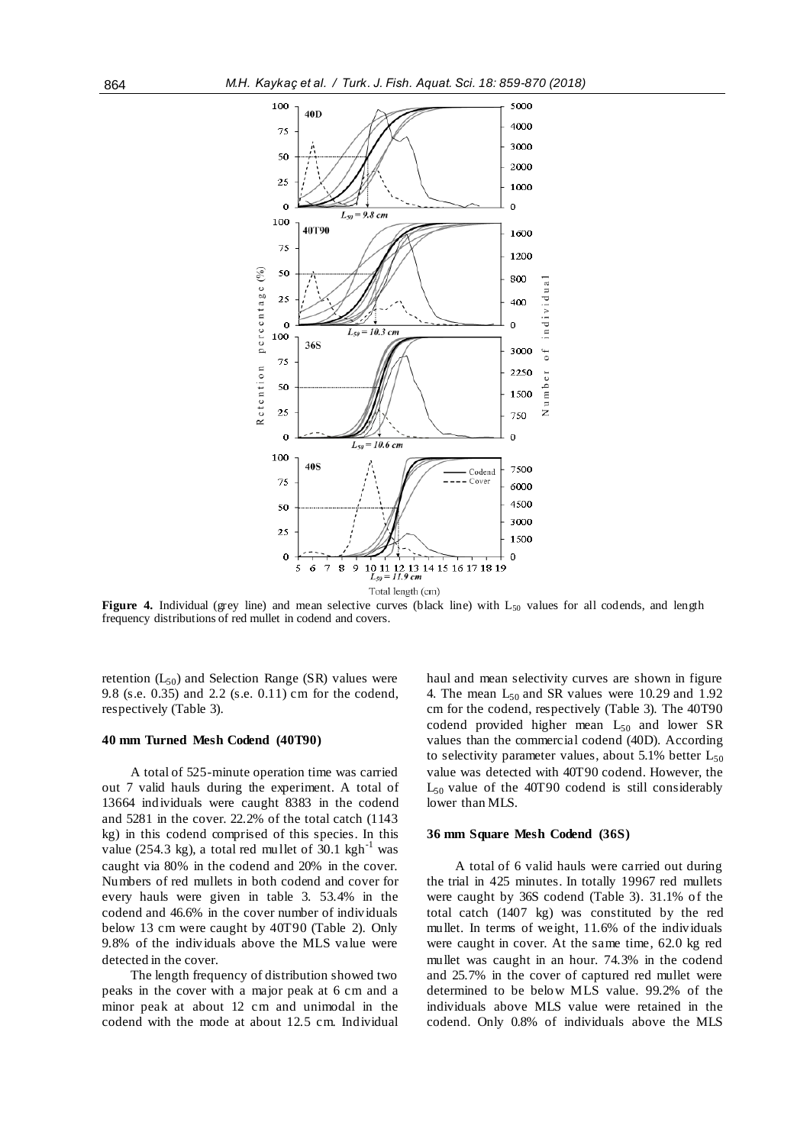

**Figure 4.** Individual (grey line) and mean selective curves (black line) with L<sub>50</sub> values for all codends, and length frequency distributions of red mullet in codend and covers.

retention  $(L_{50})$  and Selection Range (SR) values were 9.8 (s.e. 0.35) and 2.2 (s.e. 0.11) cm for the codend, respectively (Table 3).

## **40 mm Turned Mesh Codend (40T90)**

A total of 525-minute operation time was carried out 7 valid hauls during the experiment. A total of 13664 individuals were caught 8383 in the codend and 5281 in the cover. 22.2% of the total catch (1143 kg) in this codend comprised of this species. In this value (254.3 kg), a total red mullet of  $30.1 \text{ kgh}^{-1}$  was caught via 80% in the codend and 20% in the cover. Numbers of red mullets in both codend and cover for every hauls were given in table 3. 53.4% in the codend and 46.6% in the cover number of individuals below 13 cm were caught by 40T90 (Table 2). Only 9.8% of the individuals above the MLS value were detected in the cover.

The length frequency of distribution showed two peaks in the cover with a major peak at 6 cm and a minor peak at about 12 cm and unimodal in the codend with the mode at about 12.5 cm. Individual haul and mean selectivity curves are shown in figure 4. The mean  $L_{50}$  and SR values were 10.29 and 1.92 cm for the codend, respectively (Table 3). The 40T90 codend provided higher mean L<sub>50</sub> and lower SR values than the commercial codend (40D). According to selectivity parameter values, about 5.1% better  $L_{50}$ value was detected with 40T90 codend. However, the  $L_{50}$  value of the 40T90 codend is still considerably lower than MLS.

#### **36 mm Square Mesh Codend (36S)**

A total of 6 valid hauls were carried out during the trial in 425 minutes. In totally 19967 red mullets were caught by 36S codend (Table 3). 31.1% of the total catch (1407 kg) was constituted by the red mullet. In terms of weight, 11.6% of the individuals were caught in cover. At the same time, 62.0 kg red mullet was caught in an hour. 74.3% in the codend and 25.7% in the cover of captured red mullet were determined to be below MLS value. 99.2% of the individuals above MLS value were retained in the codend. Only 0.8% of individuals above the MLS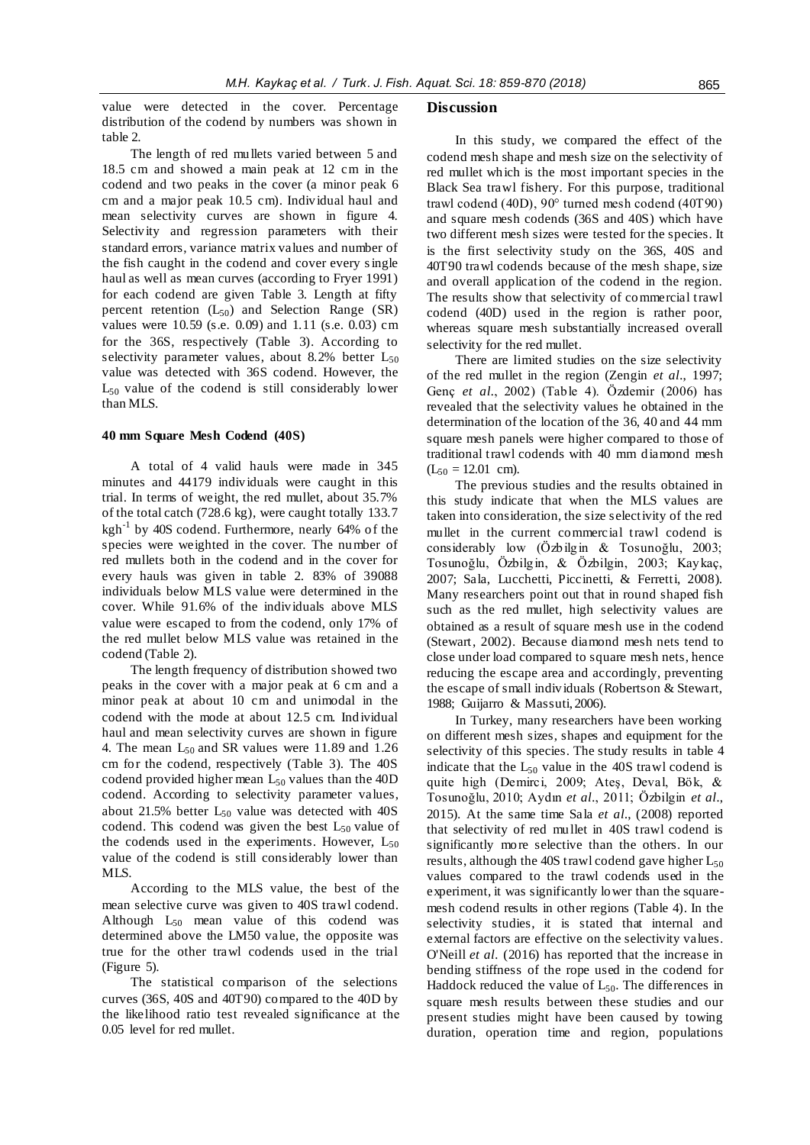value were detected in the cover. Percentage distribution of the codend by numbers was shown in table 2.

The length of red mullets varied between 5 and 18.5 cm and showed a main peak at 12 cm in the codend and two peaks in the cover (a minor peak 6 cm and a major peak 10.5 cm). Individual haul and mean selectivity curves are shown in figure 4. Selectivity and regression parameters with their standard errors, variance matrix values and number of the fish caught in the codend and cover every single haul as well as mean curves (according to Fryer 1991) for each codend are given Table 3. Length at fifty percent retention  $(L_{50})$  and Selection Range (SR) values were 10.59 (s.e. 0.09) and 1.11 (s.e. 0.03) cm for the 36S, respectively (Table 3). According to selectivity parameter values, about 8.2% better  $L_{50}$ value was detected with 36S codend. However, the  $L_{50}$  value of the codend is still considerably lower than MLS.

#### **40 mm Square Mesh Codend (40S)**

A total of 4 valid hauls were made in 345 minutes and 44179 individuals were caught in this trial. In terms of weight, the red mullet, about 35.7% of the total catch (728.6 kg), were caught totally 133.7 kgh<sup>-1</sup> by 40S codend. Furthermore, nearly 64% of the species were weighted in the cover. The number of red mullets both in the codend and in the cover for every hauls was given in table 2. 83% of 39088 individuals below MLS value were determined in the cover. While 91.6% of the individuals above MLS value were escaped to from the codend, only 17% of the red mullet below MLS value was retained in the codend (Table 2).

The length frequency of distribution showed two peaks in the cover with a major peak at 6 cm and a minor peak at about 10 cm and unimodal in the codend with the mode at about 12.5 cm. Individual haul and mean selectivity curves are shown in figure 4. The mean  $L_{50}$  and SR values were 11.89 and 1.26 cm for the codend, respectively (Table 3). The 40S codend provided higher mean  $L_{50}$  values than the 40D codend. According to selectivity parameter values, about 21.5% better  $L_{50}$  value was detected with 40S codend. This codend was given the best  $L_{50}$  value of the codends used in the experiments. However,  $L_{50}$ value of the codend is still considerably lower than MLS.

According to the MLS value, the best of the mean selective curve was given to 40S trawl codend. Although  $L_{50}$  mean value of this codend was determined above the LM50 value, the opposite was true for the other trawl codends used in the trial (Figure 5).

The statistical comparison of the selections curves (36S, 40S and 40T90) compared to the 40D by the likelihood ratio test revealed significance at the 0.05 level for red mullet.

#### **Discussion**

In this study, we compared the effect of the codend mesh shape and mesh size on the selectivity of red mullet which is the most important species in the Black Sea trawl fishery. For this purpose, traditional trawl codend (40D), 90° turned mesh codend (40T90) and square mesh codends (36S and 40S) which have two different mesh sizes were tested for the species. It is the first selectivity study on the 36S, 40S and 40T90 trawl codends because of the mesh shape, size and overall application of the codend in the region. The results show that selectivity of commercial trawl codend (40D) used in the region is rather poor, whereas square mesh substantially increased overall selectivity for the red mullet.

There are limited studies on the size selectivity of the red mullet in the region (Zengin *et al.*, 1997; Genç *et al.*, 2002) (Table 4). Özdemir (2006) has revealed that the selectivity values he obtained in the determination of the location of the 36, 40 and 44 mm square mesh panels were higher compared to those of traditional trawl codends with 40 mm diamond mesh  $(L_{50} = 12.01$  cm).

The previous studies and the results obtained in this study indicate that when the MLS values are taken into consideration, the size selectivity of the red mullet in the current commercial trawl codend is considerably low (Özbilgin & Tosunoğlu, 2003; Tosunoğlu, Özbilgin, & Özbilgin, 2003; Kaykaç, 2007; Sala, Lucchetti, Piccinetti, & Ferretti, 2008). Many researchers point out that in round shaped fish such as the red mullet, high selectivity values are obtained as a result of square mesh use in the codend (Stewart, 2002). Because diamond mesh nets tend to close under load compared to square mesh nets, hence reducing the escape area and accordingly, preventing the escape of small individuals (Robertson & Stewart, 1988; Guijarro & Massuti, 2006).

In Turkey, many researchers have been working on different mesh sizes, shapes and equipment for the selectivity of this species. The study results in table 4 indicate that the  $L_{50}$  value in the 40S trawl codend is quite high (Demirci, 2009; Ateş, Deval, Bök, & Tosunoğlu, 2010; Aydın *et al.*, 2011; Özbilgin *et al.*, 2015). At the same time Sala *et al.*, (2008) reported that selectivity of red mullet in 40S trawl codend is significantly more selective than the others. In our results, although the 40S trawl codend gave higher  $L_{50}$ values compared to the trawl codends used in the experiment, it was significantly lower than the squaremesh codend results in other regions (Table 4). In the selectivity studies, it is stated that internal and external factors are effective on the selectivity values. O'Neill *et al.* (2016) has reported that the increase in bending stiffness of the rope used in the codend for Haddock reduced the value of  $L_{50}$ . The differences in square mesh results between these studies and our present studies might have been caused by towing duration, operation time and region, populations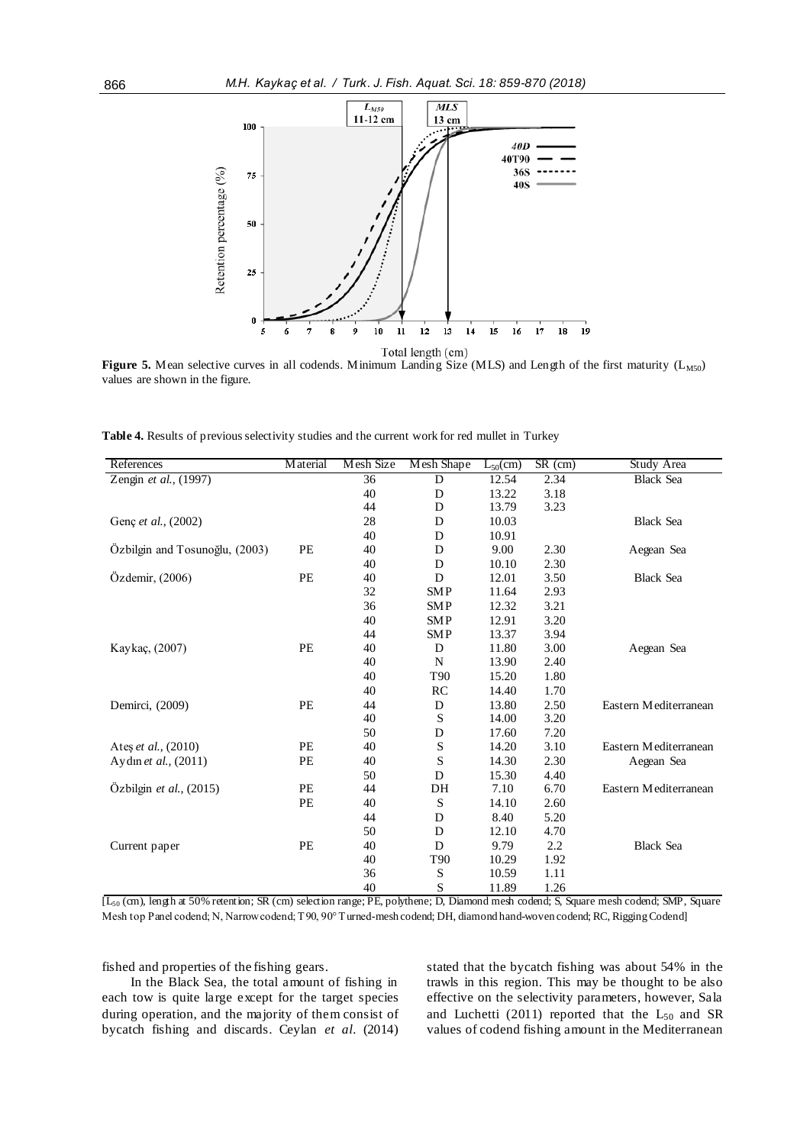

**Figure 5.** Mean selective curves in all codends. Minimum Landing Size (MLS) and Length of the first maturity ( $L_{M50}$ ) values are shown in the figure.

**Table 4.** Results of previous selectivity studies and the current work for red mullet in Turkey

| References                     | <b>Material</b> | Mesh Size | Mesh Shape          | $L_{50}(cm)$ | $SR$ (cm) | Study Area                    |
|--------------------------------|-----------------|-----------|---------------------|--------------|-----------|-------------------------------|
| Zengin et al., (1997)          |                 | 36        | D                   | 12.54        | 2.34      | <b>Black Sea</b>              |
|                                |                 | 40        | D                   | 13.22        | 3.18      |                               |
|                                |                 | 44        | D                   | 13.79        | 3.23      |                               |
| Genç et al., (2002)            |                 | 28        | D                   | 10.03        |           | <b>Black Sea</b>              |
|                                |                 | 40        | D                   | 10.91        |           |                               |
| Özbilgin and Tosunoğlu, (2003) | PE              | 40        | D                   | 9.00         | 2.30      | Aegean Sea                    |
|                                |                 | 40        | D                   | 10.10        | 2.30      |                               |
| Özdemir, (2006)                | PE              | 40        | D                   | 12.01        | 3.50      | <b>Black Sea</b>              |
|                                |                 | 32        | <b>SMP</b>          | 11.64        | 2.93      |                               |
|                                |                 | 36        | <b>SMP</b>          | 12.32        | 3.21      |                               |
|                                |                 | 40        | <b>SMP</b>          | 12.91        | 3.20      |                               |
|                                |                 | 44        | <b>SMP</b>          | 13.37        | 3.94      |                               |
| Kaykaç, (2007)                 | PE              | 40        | D                   | 11.80        | 3.00      | Aegean Sea                    |
|                                |                 | 40        | N                   | 13.90        | 2.40      |                               |
|                                |                 | 40        | T <sub>90</sub>     | 15.20        | 1.80      |                               |
|                                |                 | 40        | RC                  | 14.40        | 1.70      |                               |
| Demirci, (2009)                | PE              | 44        | D                   | 13.80        | 2.50      | Eastern Mediterranean         |
|                                |                 | 40        | S                   | 14.00        | 3.20      |                               |
|                                |                 | 50        | D                   | 17.60        | 7.20      |                               |
| Ates et al., (2010)            | PE              | 40        | S                   | 14.20        | 3.10      | Eastern Mediterranean         |
| Aydın et al., (2011)           | PE              | 40        | S                   | 14.30        | 2.30      | Aegean Sea                    |
|                                |                 | 50        | D                   | 15.30        | 4.40      |                               |
| Özbilgin et al., (2015)        | PE              | 44        | DH                  | 7.10         | 6.70      | Eastern Mediterranean         |
|                                | PE              | 40        | S                   | 14.10        | 2.60      |                               |
|                                |                 | 44        | D                   | 8.40         | 5.20      |                               |
|                                |                 | 50        | D                   | 12.10        | 4.70      |                               |
| Current paper                  | PE              | 40        | D                   | 9.79         | 2.2       | <b>Black Sea</b>              |
|                                |                 | 40        | T <sub>90</sub>     | 10.29        | 1.92      |                               |
|                                |                 | 36        | S                   | 10.59        | 1.11      |                               |
| $F \cap \mathbb{R}$<br>$\sim$  |                 | 40        | S<br>$\overline{p}$ | 11.89        | 1.26      | $\overline{a}$ $\overline{a}$ |

[L<sup>50</sup> (cm), length at 50% retention; SR (cm) selection range; PE, polythene; D, Diamond mesh codend; S, Square mesh codend; SMP, Square Mesh top Panel codend; N, Narrow codend; T90, 90° Turned-mesh codend; DH, diamond hand-woven codend; RC, Rigging Codend]

fished and properties of the fishing gears.

In the Black Sea, the total amount of fishing in each tow is quite large except for the target species during operation, and the majority of them consist of bycatch fishing and discards. Ceylan *et al.* (2014)

stated that the bycatch fishing was about 54% in the trawls in this region. This may be thought to be also effective on the selectivity parameters, however, Sala and Luchetti (2011) reported that the  $L_{50}$  and SR values of codend fishing amount in the Mediterranean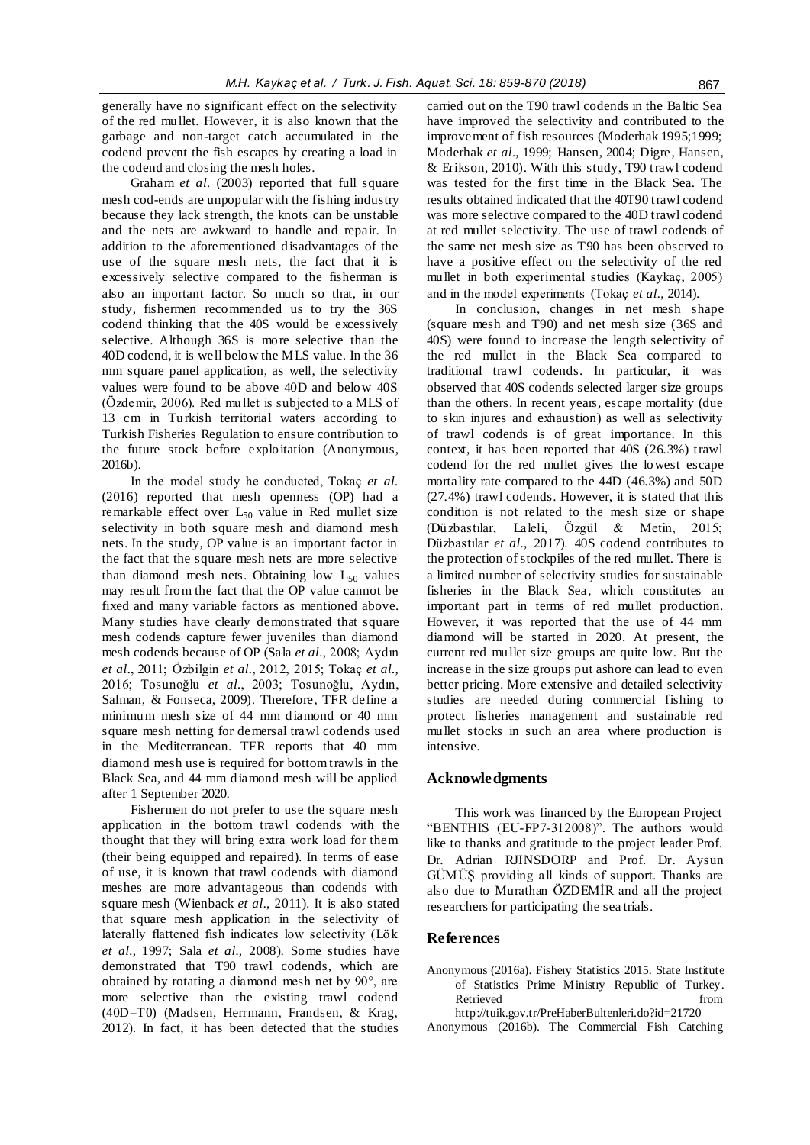generally have no significant effect on the selectivity of the red mullet. However, it is also known that the garbage and non-target catch accumulated in the codend prevent the fish escapes by creating a load in the codend and closing the mesh holes.

Graham *et al.* (2003) reported that full square mesh cod-ends are unpopular with the fishing industry because they lack strength, the knots can be unstable and the nets are awkward to handle and repair. In addition to the aforementioned disadvantages of the use of the square mesh nets, the fact that it is excessively selective compared to the fisherman is also an important factor. So much so that, in our study, fishermen recommended us to try the 36S codend thinking that the 40S would be excessively selective. Although 36S is more selective than the 40D codend, it is well below the MLS value. In the 36 mm square panel application, as well, the selectivity values were found to be above 40D and below 40S (Özdemir, 2006). Red mullet is subjected to a MLS of 13 cm in Turkish territorial waters according to Turkish Fisheries Regulation to ensure contribution to the future stock before exploitation (Anonymous, 2016b).

In the model study he conducted, Tokaç *et al.* (2016) reported that mesh openness (OP) had a remarkable effect over  $L_{50}$  value in Red mullet size selectivity in both square mesh and diamond mesh nets. In the study, OP value is an important factor in the fact that the square mesh nets are more selective than diamond mesh nets. Obtaining low  $L_{50}$  values may result from the fact that the OP value cannot be fixed and many variable factors as mentioned above. Many studies have clearly demonstrated that square mesh codends capture fewer juveniles than diamond mesh codends because of OP (Sala *et al.*, 2008; Aydın *et al.*, 2011; Özbilgin *et al.*, 2012, 2015; Tokaç *et al.*, 2016; Tosunoğlu *et al.*, 2003; Tosunoğlu, Aydın, Salman, & Fonseca, 2009). Therefore, TFR define a minimum mesh size of 44 mm diamond or 40 mm square mesh netting for demersal trawl codends used in the Mediterranean. TFR reports that 40 mm diamond mesh use is required for bottom trawls in the Black Sea, and 44 mm diamond mesh will be applied after 1 September 2020.

Fishermen do not prefer to use the square mesh application in the bottom trawl codends with the thought that they will bring extra work load for them (their being equipped and repaired). In terms of ease of use, it is known that trawl codends with diamond meshes are more advantageous than codends with square mesh (Wienback *et al.*, 2011). It is also stated that square mesh application in the selectivity of laterally flattened fish indicates low selectivity (Lök *et al.*, 1997; Sala *et al.*, 2008). Some studies have demonstrated that T90 trawl codends, which are obtained by rotating a diamond mesh net by 90°, are more selective than the existing trawl codend (40D=T0) (Madsen, Herrmann, Frandsen, & Krag, 2012). In fact, it has been detected that the studies carried out on the T90 trawl codends in the Baltic Sea have improved the selectivity and contributed to the improvement of fish resources (Moderhak 1995;1999; Moderhak *et al.*, 1999; Hansen, 2004; Digre, Hansen, & Erikson, 2010). With this study, T90 trawl codend was tested for the first time in the Black Sea. The results obtained indicated that the 40T90 trawl codend was more selective compared to the 40D trawl codend at red mullet selectivity. The use of trawl codends of the same net mesh size as T90 has been observed to have a positive effect on the selectivity of the red mullet in both experimental studies (Kaykaç, 2005) and in the model experiments (Tokaç *et al.*, 2014).

In conclusion, changes in net mesh shape (square mesh and T90) and net mesh size (36S and 40S) were found to increase the length selectivity of the red mullet in the Black Sea compared to traditional trawl codends. In particular, it was observed that 40S codends selected larger size groups than the others. In recent years, escape mortality (due to skin injures and exhaustion) as well as selectivity of trawl codends is of great importance. In this context, it has been reported that 40S (26.3%) trawl codend for the red mullet gives the lowest escape mortality rate compared to the 44D (46.3%) and 50D (27.4%) trawl codends. However, it is stated that this condition is not related to the mesh size or shape (Düzbastılar, Laleli, Özgül & Metin, 2015; Düzbastılar *et al.*, 2017). 40S codend contributes to the protection of stockpiles of the red mullet. There is a limited number of selectivity studies for sustainable fisheries in the Black Sea, which constitutes an important part in terms of red mullet production. However, it was reported that the use of 44 mm diamond will be started in 2020. At present, the current red mullet size groups are quite low. But the increase in the size groups put ashore can lead to even better pricing. More extensive and detailed selectivity studies are needed during commercial fishing to protect fisheries management and sustainable red mullet stocks in such an area where production is intensive.

## **Acknowledgments**

This work was financed by the European Project "BENTHIS (EU-FP7-312008)". The authors would like to thanks and gratitude to the project leader Prof. Dr. Adrian RJINSDORP and Prof. Dr. Aysun GÜMÜŞ providing all kinds of support. Thanks are also due to Murathan ÖZDEMİR and all the project researchers for participating the sea trials.

## **References**

- Anonymous (2016a). Fishery Statistics 2015. State Institute of Statistics Prime Ministry Republic of Turkey. Retrieved from the state of  $\sim$ 
	- http://tuik.gov.tr/PreHaberBultenleri.do?id=21720
- Anonymous (2016b). The Commercial Fish Catching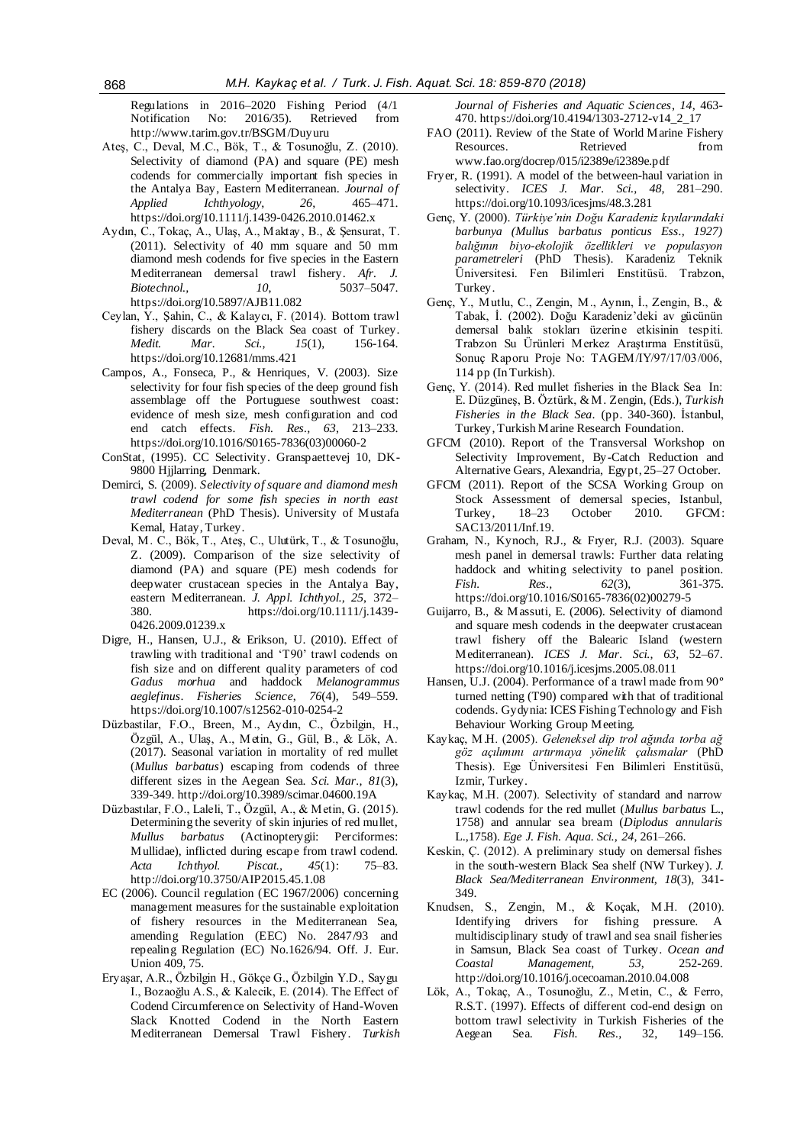Regulations in 2016–2020 Fishing Period (4/1<br>Notification No: 2016/35). Retrieved from No: 2016/35). Retrieved http://www.tarim.gov.tr/BSGM/Duyuru

- Ateş, C., Deval, M.C., Bök, T., & Tosunoğlu, Z. (2010). Selectivity of diamond (PA) and square (PE) mesh codends for commercially important fish species in the Antalya Bay, Eastern Mediterranean. *Journal of Applied Ichthyology*, *26*, 465–471. https://doi.org/10.1111/j.1439-0426.2010.01462.x
- Aydın, C., Tokaç, A., Ulaş, A., Maktay, B., & Şensurat, T. (2011). Selectivity of 40 mm square and 50 mm diamond mesh codends for five species in the Eastern Mediterranean demersal trawl fishery. *Afr. J. Biotechnol., 10*, 5037–5047. https://doi.org/10.5897/AJB11.082
- Ceylan, Y., Şahin, C., & Kalaycı, F. (2014). Bottom trawl fishery discards on the Black Sea coast of Turkey. *Medit. Mar. Sci., 15*(1), 156-164. https://doi.org/10.12681/mms.421
- Campos, A., Fonseca, P., & Henriques, V. (2003). Size selectivity for four fish species of the deep ground fish assemblage off the Portuguese southwest coast: evidence of mesh size, mesh configuration and cod end catch effects. *Fish. Res., 63*, 213–233. https://doi.org/10.1016/S0165-7836(03)00060-2
- ConStat, (1995). CC Selectivity. Granspaettevej 10, DK-9800 Hjjlarring, Denmark.
- Demirci, S. (2009). *Selectivity of square and diamond mesh trawl codend for some fish species in north east Mediterranean* (PhD Thesis). University of Mustafa Kemal, Hatay, Turkey.
- Deval, M. C., Bök, T., Ateş, C., Ulutürk, T., & Tosunoğlu, Z. (2009). Comparison of the size selectivity of diamond (PA) and square (PE) mesh codends for deepwater crustacean species in the Antalya Bay, eastern Mediterranean. *J. Appl. Ichthyol., 25*, 372– 380. https://doi.org/10.1111/j.1439- 0426.2009.01239.x
- Digre, H., Hansen, U.J., & Erikson, U. (2010). Effect of trawling with traditional and 'T90' trawl codends on fish size and on different quality parameters of cod *Gadus morhua* and haddock *Melanogrammus aeglefinus*. *Fisheries Science*, *76*(4), 549–559. https://doi.org/10.1007/s12562-010-0254-2
- Düzbastilar, F.O., Breen, M., Aydın, C., Özbilgin, H., Özgül, A., Ulaş, A., Metin, G., Gül, B., & Lök, A. (2017). Seasonal variation in mortality of red mullet (*Mullus barbatus*) escaping from codends of three different sizes in the Aegean Sea. *Sci. Mar., 81*(3), 339-349. http://doi.org/10.3989/scimar.04600.19A
- Düzbastılar, F.O., Laleli, T., Özgül, A., & Metin, G. (2015). Determining the severity of skin injuries of red mullet, *Mullus barbatus* (Actinopterygii: Perciformes: Mullidae), inflicted during escape from trawl codend. *Acta Ichthyol. Piscat., 45*(1): 75–83. http://doi.org/10.3750/AIP2015.45.1.08
- EC (2006). Council regulation (EC 1967/2006) concerning management measures for the sustainable exploitation of fishery resources in the Mediterranean Sea, amending Regulation (EEC) No. 2847/93 and repealing Regulation (EC) No.1626/94. Off. J. Eur. Union 409, 75.
- Eryaşar, A.R., Özbilgin H., Gökçe G., Özbilgin Y.D., Saygu I., Bozaoğlu A.S., & Kalecik, E. (2014). The Effect of Codend Circumference on Selectivity of Hand-Woven Slack Knotted Codend in the North Eastern Mediterranean Demersal Trawl Fishery. *Turkish*

*Journal of Fisheries and Aquatic Sciences*, *14*, 463- 470. https://doi.org/10.4194/1303-2712-v14\_2\_17

- FAO (2011). Review of the State of World Marine Fishery Resources. Retrieved from www.fao.org/docrep/015/i2389e/i2389e.pdf
- Fryer, R. (1991). A model of the between-haul variation in selectivity. *ICES J. Mar. Sci., 48*, 281–290. https:[//doi.org/10.1093/icesjms/48.3.281](https://doi.org/10.1093/icesjms/48.3.281)
- Genç, Y. (2000). *Türkiye'nin Doğu Karadeniz kıyılarındaki barbunya (Mullus barbatus ponticus Ess., 1927) balığının biyo-ekolojik özellikleri ve populasyon parametreleri* (PhD Thesis). Karadeniz Teknik Üniversitesi. Fen Bilimleri Enstitüsü. Trabzon, Turkey.
- Genç, Y., Mutlu, C., Zengin, M., Aynın, İ., Zengin, B., & Tabak, İ. (2002). Doğu Karadeniz'deki av gücünün demersal balık stokları üzerine etkisinin tespiti. Trabzon Su Ürünleri Merkez Araştırma Enstitüsü, Sonuç Raporu Proje No: TAGEM/IY/97/17/03/006, 114 pp (In Turkish).
- Genç, Y. (2014). Red mullet fisheries in the Black Sea In: E. Düzgüneş, B. Öztürk, & M. Zengin, (Eds.), *Turkish Fisheries in the Black Sea*. (pp. 340-360). İstanbul, Turkey, Turkish Marine Research Foundation.
- GFCM (2010). Report of the Transversal Workshop on Selectivity Improvement, By-Catch Reduction and Alternative Gears, Alexandria, Egypt, 25–27 October.
- GFCM (2011). Report of the SCSA Working Group on Stock Assessment of demersal species, Istanbul,<br>Turkey, 18-23 October 2010. GFCM: 18–23 October 2010. GFCM: SAC13/2011/Inf.19.
- Graham, N., Kynoch, R.J., & Fryer, R.J. (2003). Square mesh panel in demersal trawls: Further data relating haddock and whiting selectivity to panel position. *Fish. Res., 62*(3), 361-375. https://doi.org/10.1016/S0165-7836(02)00279-5
- Guijarro, B., & Massuti, E. (2006). Selectivity of diamond and square mesh codends in the deepwater crustacean trawl fishery off the Balearic Island (western Mediterranean). *ICES J. Mar. Sci., 63*, 52–67. https://doi.org/10.1016/j.icesjms.2005.08.011
- Hansen, U.J. (2004). Performance of a trawl made from 90º turned netting (T90) compared with that of traditional codends. Gydynia: ICES Fishing Technology and Fish Behaviour Working Group Meeting.
- Kaykaç, M.H. (2005). *Geleneksel dip trol ağında torba ağ göz açılımını artırmaya yönelik çalısmalar* (PhD Thesis). Ege Üniversitesi Fen Bilimleri Enstitüsü, Izmir, Turkey.
- Kaykaç, M.H. (2007). Selectivity of standard and narrow trawl codends for the red mullet (*Mullus barbatus* L., 1758) and annular sea bream (*Diplodus annularis* L.,1758). *Ege J. Fish. Aqua. Sci., 24*, 261–266.
- Keskin, Ç. (2012). A preliminary study on demersal fishes in the south-western Black Sea shelf (NW Turkey). *J. Black Sea/Mediterranean Environment, 18*(3), 341- 349.
- Knudsen, S., Zengin, M., & Koçak, M.H. (2010). Identifying drivers for fishing pressure. A multidisciplinary study of trawl and sea snail fisheries in Samsun, Black Sea coast of Turkey. *Ocean and Coastal Management*, *53*, 252-269. http://doi.org/10.1016/j.ocecoaman.2010.04.008
- Lök, A., Tokaç, A., Tosunoğlu, Z., Metin, C., & Ferro, R.S.T. (1997). Effects of different cod-end design on bottom trawl selectivity in Turkish Fisheries of the Aegean Sea. *Fish. Res.,* 32, 149–156.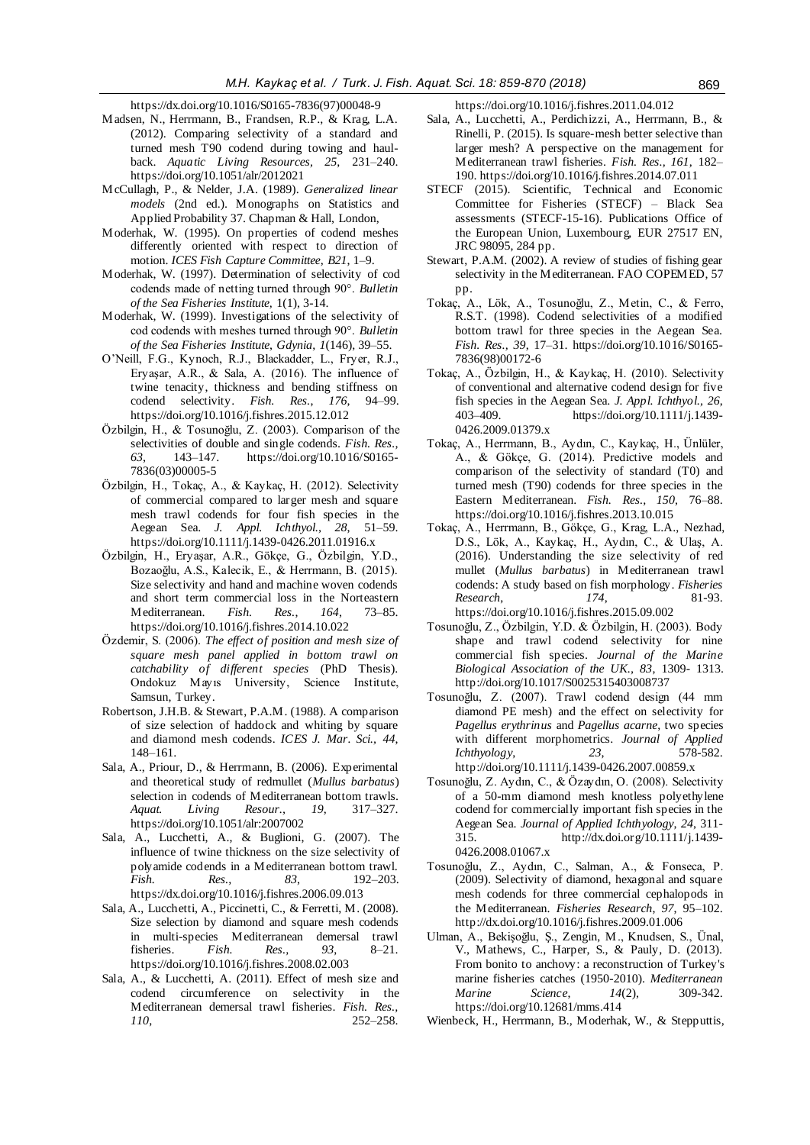https://d[x.doi.org/10.1016/S0165-7836\(97\)00048-9](https://doi.org/10.1016/S0165-7836(97)00048-9)

- Madsen, N., Herrmann, B., Frandsen, R.P., & Krag, L.A. (2012). Comparing selectivity of a standard and turned mesh T90 codend during towing and haulback. *Aquatic Living Resources, 25*, 231–240. https:[//doi.org/10.1051/alr/2012021](https://doi.org/10.1051/alr/2012021)
- McCullagh, P., & Nelder, J.A. (1989). *Generalized linear models* (2nd ed.). Monographs on Statistics and Applied Probability 37. Chapman & Hall, London,
- Moderhak, W. (1995). On properties of codend meshes differently oriented with respect to direction of motion. *ICES Fish Capture Committee*, *B21*, 1–9.
- Moderhak, W. (1997). Determination of selectivity of cod codends made of netting turned through 90°. *Bulletin of the Sea Fisheries Institute,* 1(1), 3-14.
- Moderhak, W. (1999). Investigations of the selectivity of cod codends with meshes turned through 90°. *Bulletin of the Sea Fisheries Institute*, *Gdynia*, *1*(146), 39–55.
- O'Neill, F.G., Kynoch, R.J., Blackadder, L., Fryer, R.J., Eryaşar, A.R., & Sala, A. (2016). The influence of twine tenacity, thickness and bending stiffness on codend selectivity. *Fish. Res.*, *176*, 94–99. https:[//doi.org/10.1016/j.fishres.2015.12.012](https://doi.org/10.1016/j.fishres.2015.12.012)
- Özbilgin, H., & Tosunoğlu, Z. (2003). Comparison of the selectivities of double and single codends. *Fish. Res.*, 63, 143–147. https://doi.org/10.1016/S0165-*63*, 143–147. https:[//doi.org/10.1016/S0165-](https://doi.org/10.1016/S0165-7836(03)00005-5) [7836\(03\)00005-5](https://doi.org/10.1016/S0165-7836(03)00005-5)
- Özbilgin, H., Tokaç, A., & Kaykaç, H. (2012). Selectivity of commercial compared to larger mesh and square mesh trawl codends for four fish species in the Aegean Sea. *J. Appl. Ichthyol., 28*, 51–59. https://doi.org/10.1111/j.1439-0426.2011.01916.x
- Özbilgin, H., Eryaşar, A.R., Gökçe, G., Özbilgin, Y.D., Bozaoğlu, A.S., Kalecik, E., & Herrmann, B. (2015). Size selectivity and hand and machine woven codends and short term commercial loss in the Norteastern Mediterranean. *Fish. Res.*, *164*, 73–85. https:[//doi.org/10.1016/j.fishres.2014.10.022](https://doi.org/10.1016/j.fishres.2014.10.022)
- Özdemir, S. (2006). *The effect of position and mesh size of square mesh panel applied in bottom trawl on catchability of different species* (PhD Thesis). Ondokuz Mayıs University, Science Institute, Samsun, Turkey.
- Robertson, J.H.B. & Stewart, P.A.M. (1988). A comparison of size selection of haddock and whiting by square and diamond mesh codends. *ICES J. Mar. Sci., 44*, 148–161.
- Sala, A., Priour, D., & Herrmann, B. (2006). Experimental and theoretical study of redmullet (*Mullus barbatus*) selection in codends of Mediterranean bottom trawls.<br>Aquat. Living Resour., 19, 317–327. *Aquat. Living Resour., 19*, 317–327. https://doi.org/10.1051/alr:2007002
- Sala, A., Lucchetti, A., & Buglioni, G. (2007). The influence of twine thickness on the size selectivity of polyamide codends in a Mediterranean bottom trawl. *Fish. Res., 83*, 192–203. https://d[x.doi.org/10.1016/j.fishres.2006.09.013](https://doi.org/10.1016/j.fishres.2006.09.013)
- Sala, A., Lucchetti, A., Piccinetti, C., & Ferretti, M. (2008). Size selection by diamond and square mesh codends in multi-species Mediterranean demersal trawl fisheries. *Fish. Res., 93*, 8–21. https:[//doi.org/10.1016/j.fishres.2008.02.003](https://doi.org/10.1016/j.fishres.2008.02.003)
- Sala, A., & Lucchetti, A. (2011). Effect of mesh size and codend circumference on selectivity in the Mediterranean demersal trawl fisheries. *Fish. Res., 110*, 252–258.

https:[//doi.org/10.1016/j.fishres.2011.04.012](https://doi.org/10.1016/j.fishres.2011.04.012)

- Sala, A., Lucchetti, A., Perdichizzi, A., Herrmann, B., & Rinelli, P. (2015). Is square-mesh better selective than larger mesh? A perspective on the management for Mediterranean trawl fisheries. *Fish. Res., 161*, 182– 190. https:[//doi.org/10.1016/j.fishres.2014.07.011](https://doi.org/10.1016/j.fishres.2014.07.011)
- STECF (2015). Scientific, Technical and Economic Committee for Fisheries (STECF) – Black Sea assessments (STECF-15-16). Publications Office of the European Union, Luxembourg, EUR 27517 EN, JRC 98095, 284 pp.
- Stewart, P.A.M. (2002). A review of studies of fishing gear selectivity in the Mediterranean. FAO COPEMED, 57 pp.
- Tokaç, A., Lök, A., Tosunoğlu, Z., Metin, C., & Ferro, R.S.T. (1998). Codend selectivities of a modified bottom trawl for three species in the Aegean Sea. *Fish. Res., 39*, 17–31. https://doi.org/10.1016/S0165- 7836(98)00172-6
- Tokaç, A., Özbilgin, H., & Kaykaç, H. (2010). Selectivity of conventional and alternative codend design for five fish species in the Aegean Sea. *J. Appl. Ichthyol., 26*, 403–409. https://doi.org/10.1111/j.1439- 0426.2009.01379.x
- Tokaç, A., Herrmann, B., Aydın, C., Kaykaç, H., Ünlüler, A., & Gökçe, G. (2014). Predictive models and comparison of the selectivity of standard (T0) and turned mesh (T90) codends for three species in the Eastern Mediterranean. *Fish. Res., 150*, 76–88. https://doi.org/10.1016/j.fishres.2013.10.015
- Tokaç, A., Herrmann, B., Gökçe, G., Krag, L.A., Nezhad, D.S., Lök, A., Kaykaç, H., Aydın, C., & Ulaş, A. (2016). Understanding the size selectivity of red mullet (*Mullus barbatus*) in Mediterranean trawl codends: A study based on fish morphology. *Fisheries Research*, *174*, 81-93. https://doi.org/10.1016/j.fishres.2015.09.002
- Tosunoğlu, Z., Özbilgin, Y.D. & Özbilgin, H. (2003). Body shape and trawl codend selectivity for nine commercial fish species. *Journal of the Marine Biological Association of the UK., 83*, 1309- 1313. http://doi.org/10.1017/S0025315403008737
- Tosunoğlu, Z. (2007). Trawl codend design (44 mm diamond PE mesh) and the effect on selectivity for *Pagellus erythrinus* and *Pagellus acarne*, two species with different morphometrics. *Journal of Applied Ichthyology*, *23*, 578-582. http://doi.org/10.1111/j.1439-0426.2007.00859.x
- Tosunoğlu, Z. Aydın, C., & Özaydın, O. (2008). Selectivity of a 50-mm diamond mesh knotless polyethylene codend for commercially important fish species in the Aegean Sea. *Journal of Applied Ichthyology*, *24*, 311- 315. http://dx.doi.org/10.1111/j.1439- 0426.2008.01067.x
- Tosunoğlu, Z., Aydın, C., Salman, A., & Fonseca, P. (2009). Selectivity of diamond, hexagonal and square mesh codends for three commercial cephalopods in the Mediterranean. *Fisheries Research*, *97*, 95–102. <http://dx.doi.org/10.1016/j.fishres.2009.01.006>
- Ulman, A., Bekişoğlu, Ş., Zengin, M., Knudsen, S., Ünal, V., Mathews, C., Harper, S., & Pauly, D. (2013). From bonito to anchovy: a reconstruction of Turkey's marine fisheries catches (1950-2010). *Mediterranean Marine Science*, *14*(2), 309-342. https://doi.org/10.12681/mms.414
- Wienbeck, H., Herrmann, B., Moderhak, W., & Stepputtis,